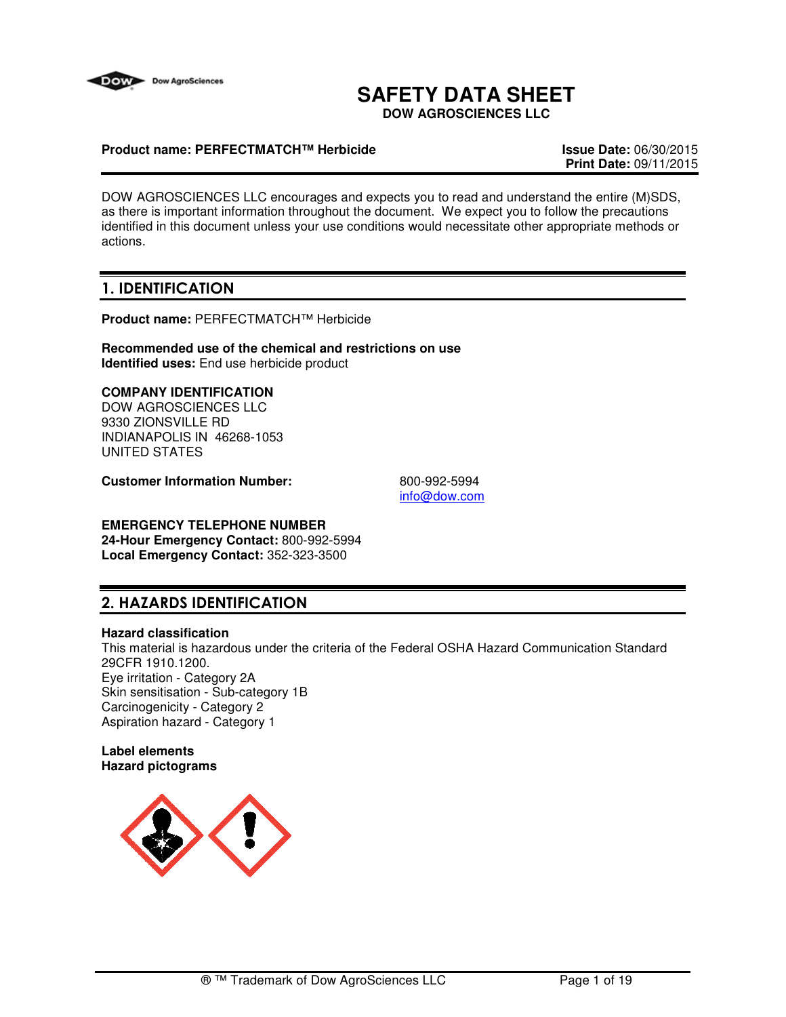

# **SAFETY DATA SHEET**

**DOW AGROSCIENCES LLC**

### **Product name: PERFECTMATCH™ Herbicide Issue Date:** 06/30/2015

**Print Date:** 09/11/2015

DOW AGROSCIENCES LLC encourages and expects you to read and understand the entire (M)SDS, as there is important information throughout the document. We expect you to follow the precautions identified in this document unless your use conditions would necessitate other appropriate methods or actions.

## 1. IDENTIFICATION

**Product name:** PERFECTMATCH™ Herbicide

**Recommended use of the chemical and restrictions on use Identified uses:** End use herbicide product

## **COMPANY IDENTIFICATION**

DOW AGROSCIENCES LLC 9330 ZIONSVILLE RD INDIANAPOLIS IN 46268-1053 UNITED STATES

**Customer Information Number:** 800-992-5994

info@dow.com

#### **EMERGENCY TELEPHONE NUMBER 24-Hour Emergency Contact:** 800-992-5994 **Local Emergency Contact:** 352-323-3500

## 2. HAZARDS IDENTIFICATION

#### **Hazard classification**

This material is hazardous under the criteria of the Federal OSHA Hazard Communication Standard 29CFR 1910.1200. Eye irritation - Category 2A Skin sensitisation - Sub-category 1B Carcinogenicity - Category 2 Aspiration hazard - Category 1

#### **Label elements Hazard pictograms**

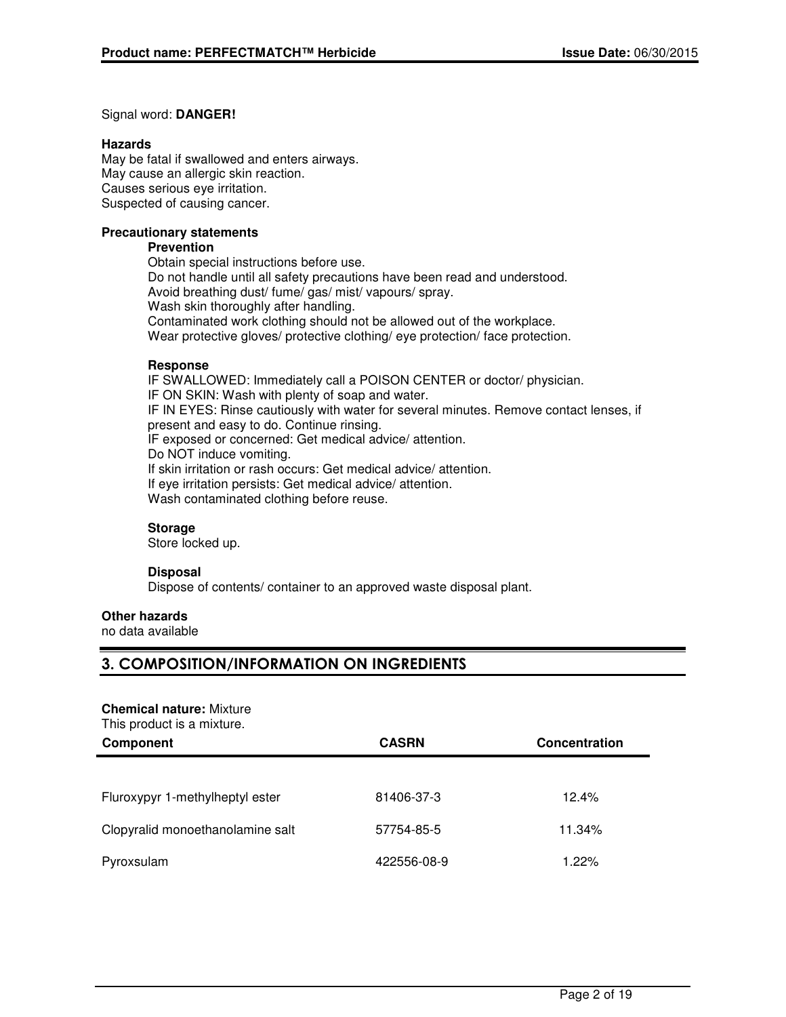#### Signal word: **DANGER!**

#### **Hazards**

May be fatal if swallowed and enters airways. May cause an allergic skin reaction. Causes serious eye irritation. Suspected of causing cancer.

#### **Precautionary statements**

#### **Prevention**

Obtain special instructions before use. Do not handle until all safety precautions have been read and understood. Avoid breathing dust/ fume/ gas/ mist/ vapours/ spray. Wash skin thoroughly after handling. Contaminated work clothing should not be allowed out of the workplace. Wear protective gloves/ protective clothing/ eye protection/ face protection.

#### **Response**

IF SWALLOWED: Immediately call a POISON CENTER or doctor/ physician. IF ON SKIN: Wash with plenty of soap and water. IF IN EYES: Rinse cautiously with water for several minutes. Remove contact lenses, if present and easy to do. Continue rinsing. IF exposed or concerned: Get medical advice/ attention. Do NOT induce vomiting. If skin irritation or rash occurs: Get medical advice/ attention. If eye irritation persists: Get medical advice/ attention. Wash contaminated clothing before reuse.

#### **Storage**

Store locked up.

#### **Disposal**

Dispose of contents/ container to an approved waste disposal plant.

## **Other hazards**

no data available

## 3. COMPOSITION/INFORMATION ON INGREDIENTS

#### **Chemical nature:** Mixture

This product is a mixture.

| Component                        | <b>CASRN</b> | <b>Concentration</b> |
|----------------------------------|--------------|----------------------|
|                                  |              |                      |
| Fluroxypyr 1-methylheptyl ester  | 81406-37-3   | 12.4%                |
| Clopyralid monoethanolamine salt | 57754-85-5   | 11.34%               |
| Pyroxsulam                       | 422556-08-9  | 1.22%                |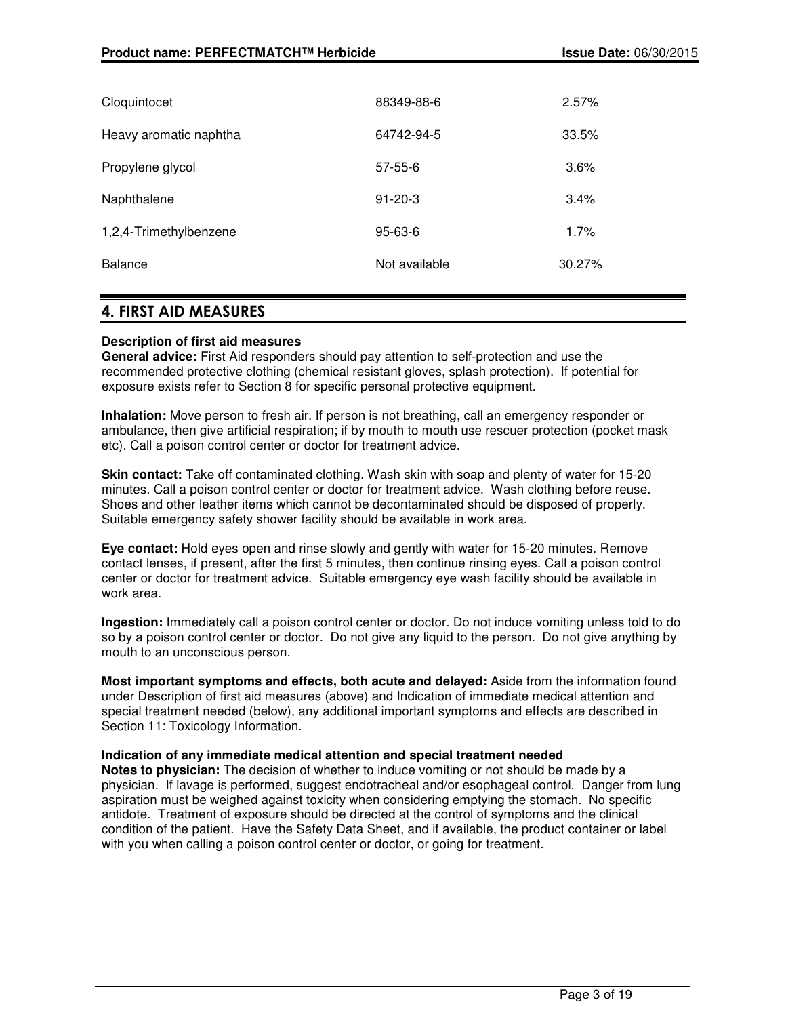| Cloquintocet           | 88349-88-6    | 2.57%  |
|------------------------|---------------|--------|
| Heavy aromatic naphtha | 64742-94-5    | 33.5%  |
| Propylene glycol       | $57 - 55 - 6$ | 3.6%   |
| Naphthalene            | $91 - 20 - 3$ | 3.4%   |
| 1,2,4-Trimethylbenzene | $95 - 63 - 6$ | 1.7%   |
| <b>Balance</b>         | Not available | 30.27% |
|                        |               |        |

## 4. FIRST AID MEASURES

### **Description of first aid measures**

**General advice:** First Aid responders should pay attention to self-protection and use the recommended protective clothing (chemical resistant gloves, splash protection). If potential for exposure exists refer to Section 8 for specific personal protective equipment.

**Inhalation:** Move person to fresh air. If person is not breathing, call an emergency responder or ambulance, then give artificial respiration; if by mouth to mouth use rescuer protection (pocket mask etc). Call a poison control center or doctor for treatment advice.

**Skin contact:** Take off contaminated clothing. Wash skin with soap and plenty of water for 15-20 minutes. Call a poison control center or doctor for treatment advice. Wash clothing before reuse. Shoes and other leather items which cannot be decontaminated should be disposed of properly. Suitable emergency safety shower facility should be available in work area.

**Eye contact:** Hold eyes open and rinse slowly and gently with water for 15-20 minutes. Remove contact lenses, if present, after the first 5 minutes, then continue rinsing eyes. Call a poison control center or doctor for treatment advice. Suitable emergency eye wash facility should be available in work area.

**Ingestion:** Immediately call a poison control center or doctor. Do not induce vomiting unless told to do so by a poison control center or doctor. Do not give any liquid to the person. Do not give anything by mouth to an unconscious person.

**Most important symptoms and effects, both acute and delayed:** Aside from the information found under Description of first aid measures (above) and Indication of immediate medical attention and special treatment needed (below), any additional important symptoms and effects are described in Section 11: Toxicology Information.

#### **Indication of any immediate medical attention and special treatment needed**

**Notes to physician:** The decision of whether to induce vomiting or not should be made by a physician. If lavage is performed, suggest endotracheal and/or esophageal control. Danger from lung aspiration must be weighed against toxicity when considering emptying the stomach. No specific antidote. Treatment of exposure should be directed at the control of symptoms and the clinical condition of the patient. Have the Safety Data Sheet, and if available, the product container or label with you when calling a poison control center or doctor, or going for treatment.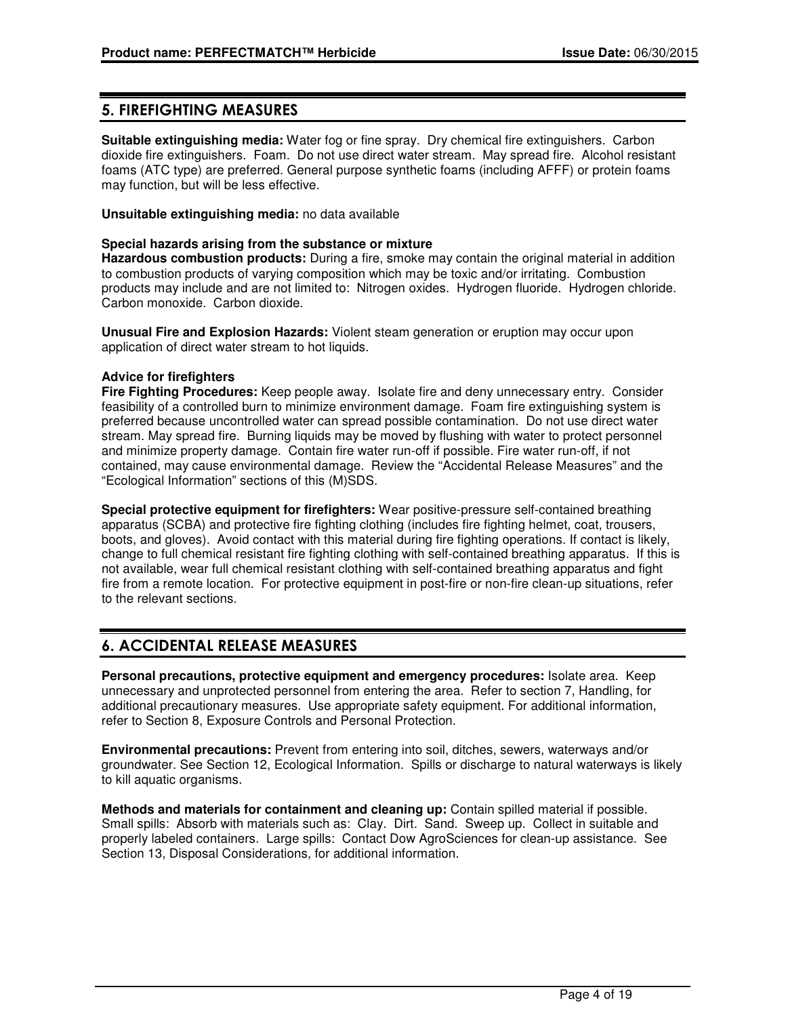## 5. FIREFIGHTING MEASURES

**Suitable extinguishing media:** Water fog or fine spray. Dry chemical fire extinguishers. Carbon dioxide fire extinguishers. Foam. Do not use direct water stream. May spread fire. Alcohol resistant foams (ATC type) are preferred. General purpose synthetic foams (including AFFF) or protein foams may function, but will be less effective.

**Unsuitable extinguishing media:** no data available

#### **Special hazards arising from the substance or mixture**

**Hazardous combustion products:** During a fire, smoke may contain the original material in addition to combustion products of varying composition which may be toxic and/or irritating. Combustion products may include and are not limited to: Nitrogen oxides. Hydrogen fluoride. Hydrogen chloride. Carbon monoxide. Carbon dioxide.

**Unusual Fire and Explosion Hazards:** Violent steam generation or eruption may occur upon application of direct water stream to hot liquids.

#### **Advice for firefighters**

**Fire Fighting Procedures:** Keep people away. Isolate fire and deny unnecessary entry. Consider feasibility of a controlled burn to minimize environment damage. Foam fire extinguishing system is preferred because uncontrolled water can spread possible contamination. Do not use direct water stream. May spread fire. Burning liquids may be moved by flushing with water to protect personnel and minimize property damage. Contain fire water run-off if possible. Fire water run-off, if not contained, may cause environmental damage. Review the "Accidental Release Measures" and the "Ecological Information" sections of this (M)SDS.

**Special protective equipment for firefighters:** Wear positive-pressure self-contained breathing apparatus (SCBA) and protective fire fighting clothing (includes fire fighting helmet, coat, trousers, boots, and gloves). Avoid contact with this material during fire fighting operations. If contact is likely, change to full chemical resistant fire fighting clothing with self-contained breathing apparatus. If this is not available, wear full chemical resistant clothing with self-contained breathing apparatus and fight fire from a remote location. For protective equipment in post-fire or non-fire clean-up situations, refer to the relevant sections.

## 6. ACCIDENTAL RELEASE MEASURES

**Personal precautions, protective equipment and emergency procedures:** Isolate area. Keep unnecessary and unprotected personnel from entering the area. Refer to section 7, Handling, for additional precautionary measures. Use appropriate safety equipment. For additional information, refer to Section 8, Exposure Controls and Personal Protection.

**Environmental precautions:** Prevent from entering into soil, ditches, sewers, waterways and/or groundwater. See Section 12, Ecological Information. Spills or discharge to natural waterways is likely to kill aquatic organisms.

**Methods and materials for containment and cleaning up:** Contain spilled material if possible. Small spills: Absorb with materials such as: Clay. Dirt. Sand. Sweep up. Collect in suitable and properly labeled containers. Large spills: Contact Dow AgroSciences for clean-up assistance. See Section 13, Disposal Considerations, for additional information.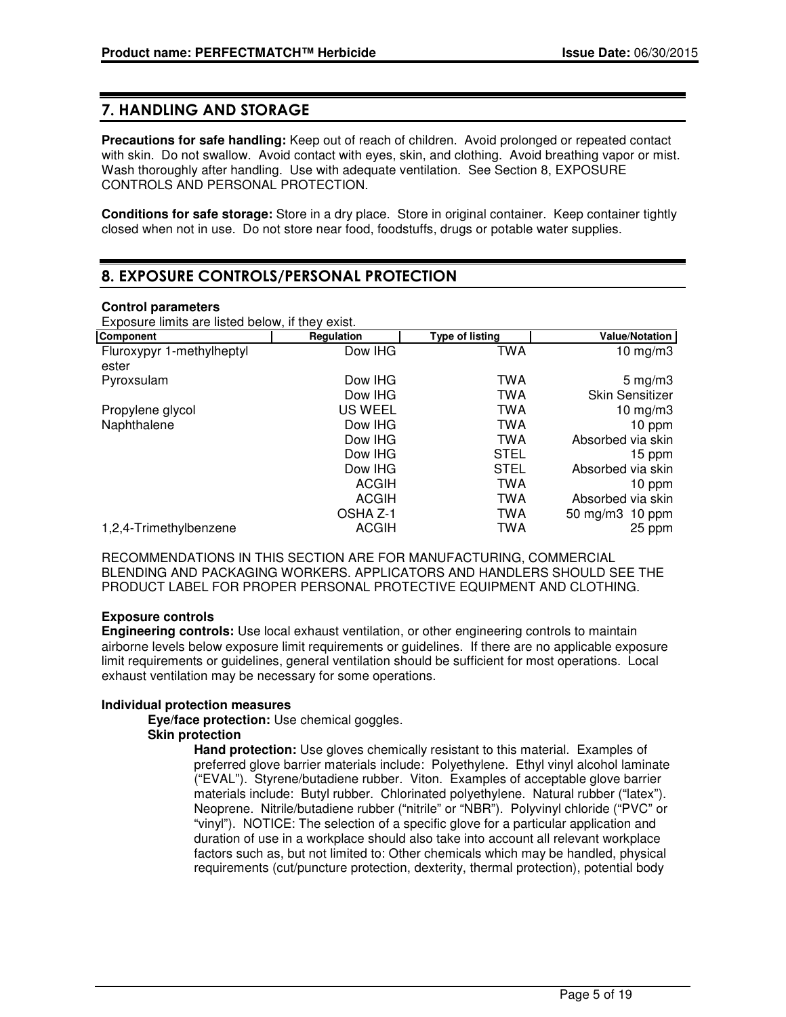## 7. HANDLING AND STORAGE

**Precautions for safe handling:** Keep out of reach of children. Avoid prolonged or repeated contact with skin. Do not swallow. Avoid contact with eyes, skin, and clothing. Avoid breathing vapor or mist. Wash thoroughly after handling. Use with adequate ventilation. See Section 8, EXPOSURE CONTROLS AND PERSONAL PROTECTION.

**Conditions for safe storage:** Store in a dry place. Store in original container. Keep container tightly closed when not in use. Do not store near food, foodstuffs, drugs or potable water supplies.

## 8. EXPOSURE CONTROLS/PERSONAL PROTECTION

### **Control parameters**

Exposure limits are listed below, if they exist.

| <b>Component</b>          | Regulation   | <b>Type of listing</b> | <b>Value/Notation</b>  |
|---------------------------|--------------|------------------------|------------------------|
| Fluroxypyr 1-methylheptyl | Dow IHG      | <b>TWA</b>             | 10 $mg/m3$             |
| ester                     |              |                        |                        |
| Pyroxsulam                | Dow IHG      | TWA                    | 5 mg/m $3$             |
|                           | Dow IHG      | TWA                    | <b>Skin Sensitizer</b> |
| Propylene glycol          | US WEEL      | <b>TWA</b>             | 10 mg/m $3$            |
| Naphthalene               | Dow IHG      | TWA                    | 10 ppm                 |
|                           | Dow IHG      | <b>TWA</b>             | Absorbed via skin      |
|                           | Dow IHG      | <b>STEL</b>            | 15 ppm                 |
|                           | Dow IHG      | <b>STEL</b>            | Absorbed via skin      |
|                           | <b>ACGIH</b> | TWA                    | 10 ppm                 |
|                           | <b>ACGIH</b> | TWA                    | Absorbed via skin      |
|                           | OSHA Z-1     | TWA                    | 50 mg/m3 10 ppm        |
| 1,2,4-Trimethylbenzene    | <b>ACGIH</b> | TWA                    | 25 ppm                 |

RECOMMENDATIONS IN THIS SECTION ARE FOR MANUFACTURING, COMMERCIAL BLENDING AND PACKAGING WORKERS. APPLICATORS AND HANDLERS SHOULD SEE THE PRODUCT LABEL FOR PROPER PERSONAL PROTECTIVE EQUIPMENT AND CLOTHING.

## **Exposure controls**

**Engineering controls:** Use local exhaust ventilation, or other engineering controls to maintain airborne levels below exposure limit requirements or guidelines. If there are no applicable exposure limit requirements or guidelines, general ventilation should be sufficient for most operations. Local exhaust ventilation may be necessary for some operations.

#### **Individual protection measures**

**Eye/face protection:** Use chemical goggles.

## **Skin protection**

**Hand protection:** Use gloves chemically resistant to this material. Examples of preferred glove barrier materials include: Polyethylene. Ethyl vinyl alcohol laminate ("EVAL"). Styrene/butadiene rubber. Viton. Examples of acceptable glove barrier materials include: Butyl rubber. Chlorinated polyethylene. Natural rubber ("latex"). Neoprene. Nitrile/butadiene rubber ("nitrile" or "NBR"). Polyvinyl chloride ("PVC" or "vinyl"). NOTICE: The selection of a specific glove for a particular application and duration of use in a workplace should also take into account all relevant workplace factors such as, but not limited to: Other chemicals which may be handled, physical requirements (cut/puncture protection, dexterity, thermal protection), potential body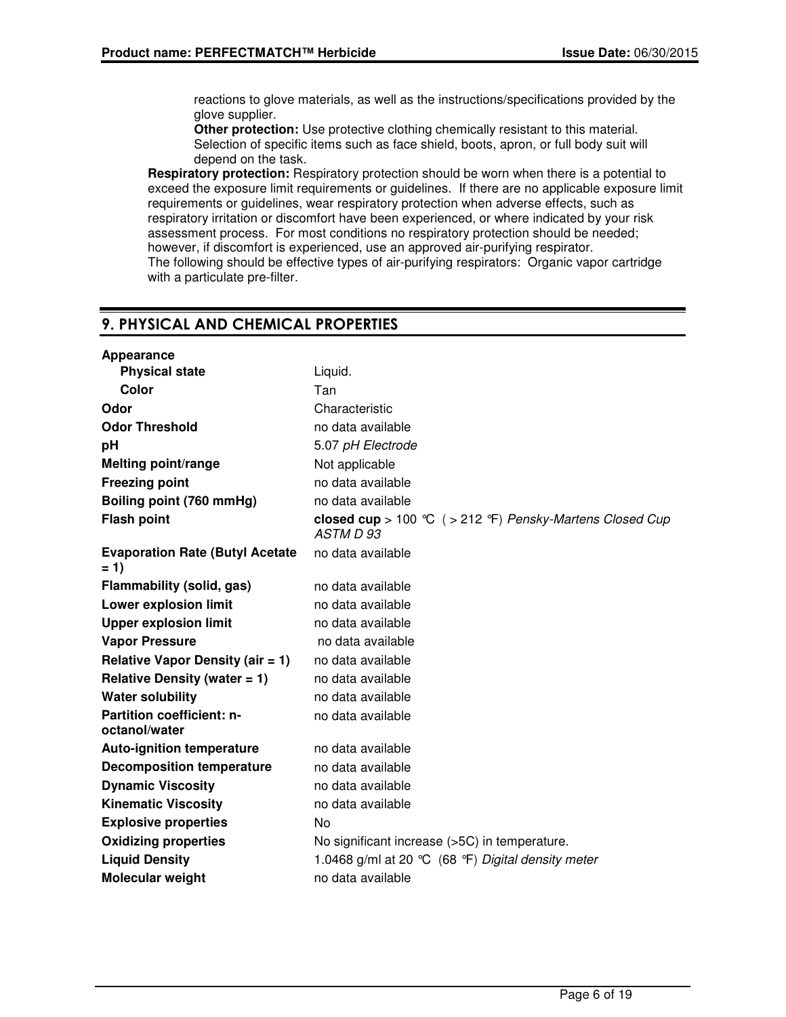reactions to glove materials, as well as the instructions/specifications provided by the glove supplier.

**Other protection:** Use protective clothing chemically resistant to this material. Selection of specific items such as face shield, boots, apron, or full body suit will depend on the task.

**Respiratory protection:** Respiratory protection should be worn when there is a potential to exceed the exposure limit requirements or guidelines. If there are no applicable exposure limit requirements or guidelines, wear respiratory protection when adverse effects, such as respiratory irritation or discomfort have been experienced, or where indicated by your risk assessment process. For most conditions no respiratory protection should be needed; however, if discomfort is experienced, use an approved air-purifying respirator. The following should be effective types of air-purifying respirators: Organic vapor cartridge with a particulate pre-filter.

## 9. PHYSICAL AND CHEMICAL PROPERTIES

| Appearance                                        |                                                                       |  |
|---------------------------------------------------|-----------------------------------------------------------------------|--|
| <b>Physical state</b>                             | Liquid.                                                               |  |
| Color                                             | Tan                                                                   |  |
| Odor                                              | Characteristic                                                        |  |
| <b>Odor Threshold</b>                             | no data available                                                     |  |
| рH                                                | 5.07 pH Electrode                                                     |  |
| <b>Melting point/range</b>                        | Not applicable                                                        |  |
| <b>Freezing point</b>                             | no data available                                                     |  |
| Boiling point (760 mmHg)                          | no data available                                                     |  |
| <b>Flash point</b>                                | closed cup > 100 °C ( > 212 °F) Pensky-Martens Closed Cup<br>ASTM D93 |  |
| <b>Evaporation Rate (Butyl Acetate)</b><br>$= 1$  | no data available                                                     |  |
| Flammability (solid, gas)                         | no data available                                                     |  |
| <b>Lower explosion limit</b>                      | no data available                                                     |  |
| <b>Upper explosion limit</b>                      | no data available                                                     |  |
| <b>Vapor Pressure</b>                             | no data available                                                     |  |
| <b>Relative Vapor Density (air = 1)</b>           | no data available                                                     |  |
| Relative Density (water $= 1$ )                   | no data available                                                     |  |
| <b>Water solubility</b>                           | no data available                                                     |  |
| <b>Partition coefficient: n-</b><br>octanol/water | no data available                                                     |  |
| <b>Auto-ignition temperature</b>                  | no data available                                                     |  |
| <b>Decomposition temperature</b>                  | no data available                                                     |  |
| <b>Dynamic Viscosity</b>                          | no data available                                                     |  |
| <b>Kinematic Viscosity</b>                        | no data available                                                     |  |
| <b>Explosive properties</b>                       | No                                                                    |  |
| <b>Oxidizing properties</b>                       | No significant increase (>5C) in temperature.                         |  |
| <b>Liquid Density</b>                             | 1.0468 g/ml at 20 °C (68 °F) Digital density meter                    |  |
| <b>Molecular weight</b>                           | no data available                                                     |  |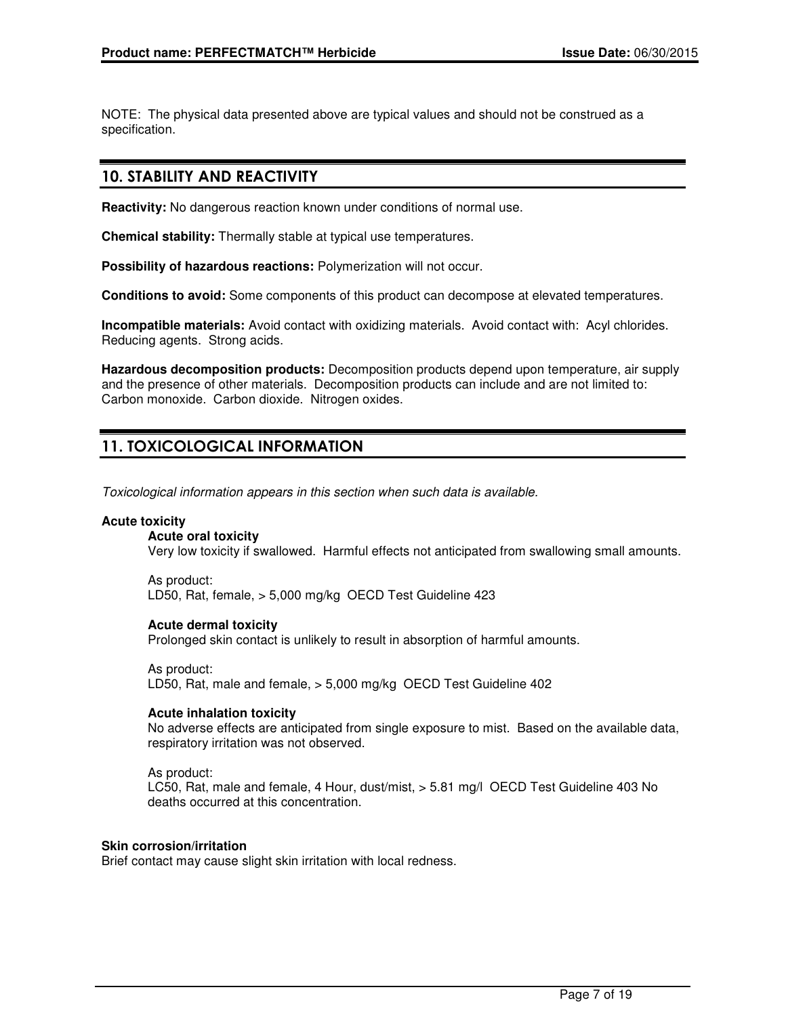NOTE: The physical data presented above are typical values and should not be construed as a specification.

## 10. STABILITY AND REACTIVITY

**Reactivity:** No dangerous reaction known under conditions of normal use.

**Chemical stability:** Thermally stable at typical use temperatures.

**Possibility of hazardous reactions:** Polymerization will not occur.

**Conditions to avoid:** Some components of this product can decompose at elevated temperatures.

**Incompatible materials:** Avoid contact with oxidizing materials. Avoid contact with: Acyl chlorides. Reducing agents. Strong acids.

**Hazardous decomposition products:** Decomposition products depend upon temperature, air supply and the presence of other materials. Decomposition products can include and are not limited to: Carbon monoxide. Carbon dioxide. Nitrogen oxides.

## 11. TOXICOLOGICAL INFORMATION

Toxicological information appears in this section when such data is available.

#### **Acute toxicity**

#### **Acute oral toxicity**

Very low toxicity if swallowed. Harmful effects not anticipated from swallowing small amounts.

As product: LD50, Rat, female, > 5,000 mg/kg OECD Test Guideline 423

#### **Acute dermal toxicity**

Prolonged skin contact is unlikely to result in absorption of harmful amounts.

As product: LD50, Rat, male and female, > 5,000 mg/kg OECD Test Guideline 402

#### **Acute inhalation toxicity**

No adverse effects are anticipated from single exposure to mist. Based on the available data, respiratory irritation was not observed.

As product:

LC50, Rat, male and female, 4 Hour, dust/mist, > 5.81 mg/l OECD Test Guideline 403 No deaths occurred at this concentration.

#### **Skin corrosion/irritation**

Brief contact may cause slight skin irritation with local redness.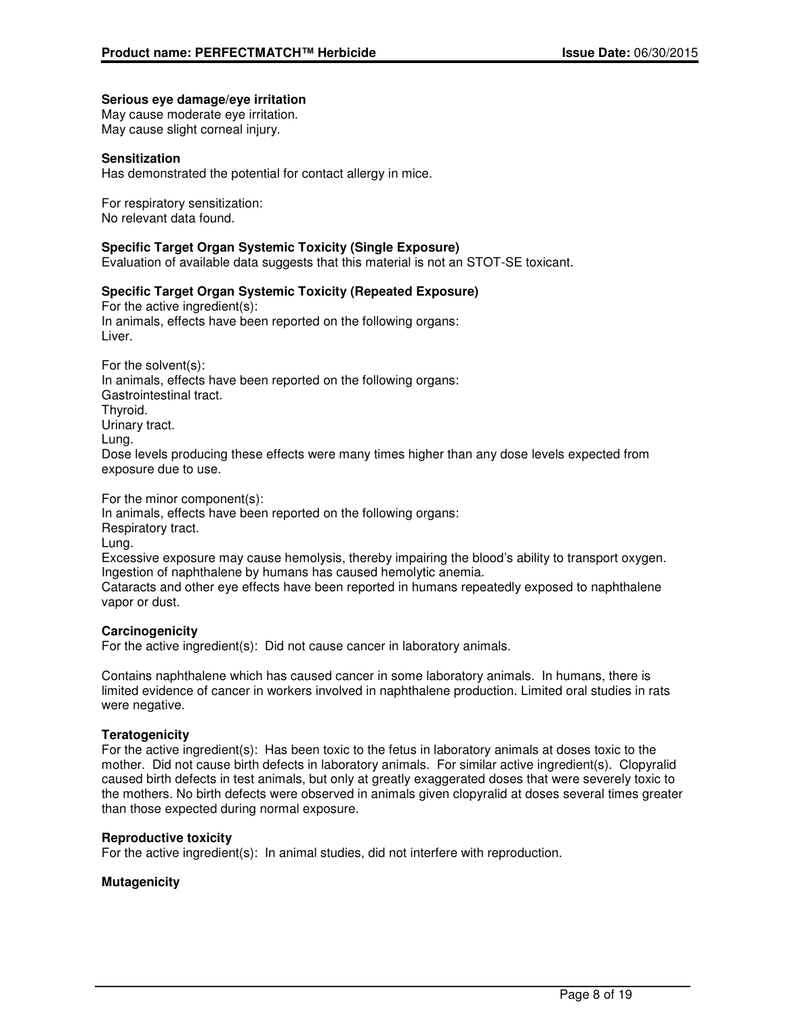#### **Serious eye damage/eye irritation**

May cause moderate eye irritation. May cause slight corneal injury.

#### **Sensitization**

Has demonstrated the potential for contact allergy in mice.

For respiratory sensitization: No relevant data found.

#### **Specific Target Organ Systemic Toxicity (Single Exposure)**

Evaluation of available data suggests that this material is not an STOT-SE toxicant.

#### **Specific Target Organ Systemic Toxicity (Repeated Exposure)**

For the active ingredient(s): In animals, effects have been reported on the following organs: Liver.

For the solvent(s): In animals, effects have been reported on the following organs: Gastrointestinal tract. Thyroid. Urinary tract. Lung. Dose levels producing these effects were many times higher than any dose levels expected from exposure due to use.

For the minor component(s):

In animals, effects have been reported on the following organs: Respiratory tract. Lung. Excessive exposure may cause hemolysis, thereby impairing the blood's ability to transport oxygen. Ingestion of naphthalene by humans has caused hemolytic anemia. Cataracts and other eye effects have been reported in humans repeatedly exposed to naphthalene vapor or dust.

#### **Carcinogenicity**

For the active ingredient(s): Did not cause cancer in laboratory animals.

Contains naphthalene which has caused cancer in some laboratory animals. In humans, there is limited evidence of cancer in workers involved in naphthalene production. Limited oral studies in rats were negative.

#### **Teratogenicity**

For the active ingredient(s): Has been toxic to the fetus in laboratory animals at doses toxic to the mother. Did not cause birth defects in laboratory animals. For similar active ingredient(s). Clopyralid caused birth defects in test animals, but only at greatly exaggerated doses that were severely toxic to the mothers. No birth defects were observed in animals given clopyralid at doses several times greater than those expected during normal exposure.

#### **Reproductive toxicity**

For the active ingredient(s): In animal studies, did not interfere with reproduction.

#### **Mutagenicity**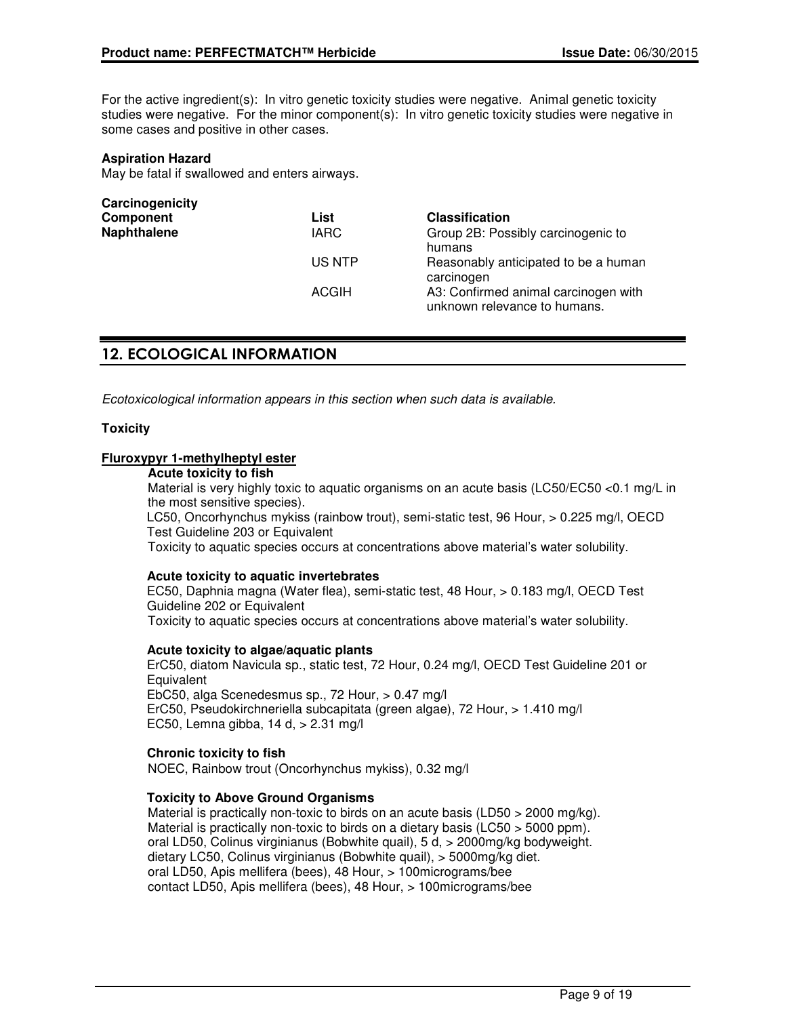For the active ingredient(s): In vitro genetic toxicity studies were negative. Animal genetic toxicity studies were negative. For the minor component(s): In vitro genetic toxicity studies were negative in some cases and positive in other cases.

#### **Aspiration Hazard**

May be fatal if swallowed and enters airways.

| List         | <b>Classification</b>                                                |
|--------------|----------------------------------------------------------------------|
| <b>IARC</b>  | Group 2B: Possibly carcinogenic to<br>humans                         |
| US NTP       | Reasonably anticipated to be a human<br>carcinogen                   |
| <b>ACGIH</b> | A3: Confirmed animal carcinogen with<br>unknown relevance to humans. |
|              |                                                                      |

## 12. ECOLOGICAL INFORMATION

Ecotoxicological information appears in this section when such data is available.

### **Toxicity**

### **Fluroxypyr 1-methylheptyl ester**

## **Acute toxicity to fish**

Material is very highly toxic to aquatic organisms on an acute basis (LC50/EC50 <0.1 mg/L in the most sensitive species).

LC50, Oncorhynchus mykiss (rainbow trout), semi-static test, 96 Hour, > 0.225 mg/l, OECD Test Guideline 203 or Equivalent

Toxicity to aquatic species occurs at concentrations above material's water solubility.

#### **Acute toxicity to aquatic invertebrates**

EC50, Daphnia magna (Water flea), semi-static test, 48 Hour, > 0.183 mg/l, OECD Test Guideline 202 or Equivalent Toxicity to aquatic species occurs at concentrations above material's water solubility.

#### **Acute toxicity to algae/aquatic plants**

ErC50, diatom Navicula sp., static test, 72 Hour, 0.24 mg/l, OECD Test Guideline 201 or **Equivalent** EbC50, alga Scenedesmus sp., 72 Hour, > 0.47 mg/l ErC50, Pseudokirchneriella subcapitata (green algae), 72 Hour, > 1.410 mg/l EC50, Lemna gibba, 14 d, > 2.31 mg/l

#### **Chronic toxicity to fish**

NOEC, Rainbow trout (Oncorhynchus mykiss), 0.32 mg/l

#### **Toxicity to Above Ground Organisms**

Material is practically non-toxic to birds on an acute basis (LD50  $>$  2000 mg/kg). Material is practically non-toxic to birds on a dietary basis (LC50 > 5000 ppm). oral LD50, Colinus virginianus (Bobwhite quail), 5 d, > 2000mg/kg bodyweight. dietary LC50, Colinus virginianus (Bobwhite quail), > 5000mg/kg diet. oral LD50, Apis mellifera (bees), 48 Hour, > 100micrograms/bee contact LD50, Apis mellifera (bees), 48 Hour, > 100micrograms/bee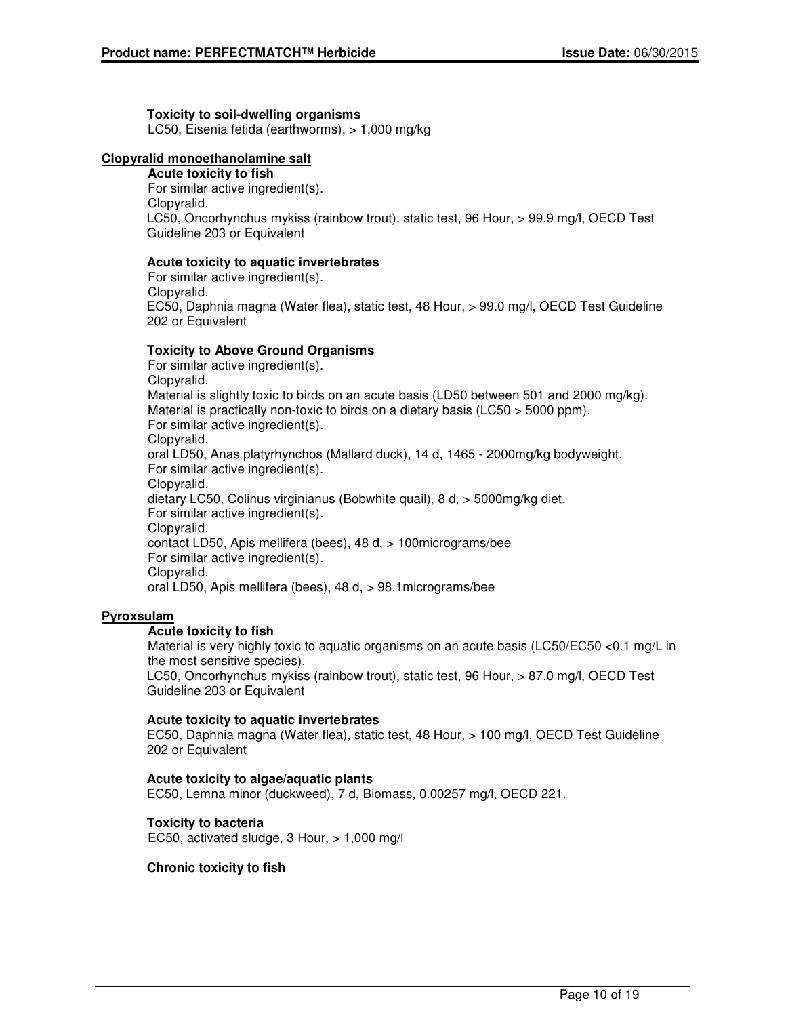### **Toxicity to soil-dwelling organisms**

LC50, Eisenia fetida (earthworms), > 1,000 mg/kg

## **Clopyralid monoethanolamine salt**

**Acute toxicity to fish** For similar active ingredient(s). Clopyralid. LC50, Oncorhynchus mykiss (rainbow trout), static test, 96 Hour, > 99.9 mg/l, OECD Test Guideline 203 or Equivalent

## **Acute toxicity to aquatic invertebrates**

For similar active ingredient(s). Clopyralid. EC50, Daphnia magna (Water flea), static test, 48 Hour, > 99.0 mg/l, OECD Test Guideline 202 or Equivalent

## **Toxicity to Above Ground Organisms**

For similar active ingredient(s). Clopyralid. Material is slightly toxic to birds on an acute basis (LD50 between 501 and 2000 mg/kg). Material is practically non-toxic to birds on a dietary basis (LC50 > 5000 ppm). For similar active ingredient(s). Clopyralid. oral LD50, Anas platyrhynchos (Mallard duck), 14 d, 1465 - 2000mg/kg bodyweight. For similar active ingredient(s). Clopyralid. dietary LC50, Colinus virginianus (Bobwhite quail), 8 d, > 5000mg/kg diet. For similar active ingredient(s). Clopyralid. contact LD50, Apis mellifera (bees), 48 d, > 100micrograms/bee For similar active ingredient(s). Clopyralid. oral LD50, Apis mellifera (bees), 48 d, > 98.1micrograms/bee

## **Pyroxsulam**

## **Acute toxicity to fish**

Material is very highly toxic to aquatic organisms on an acute basis (LC50/EC50 <0.1 mg/L in the most sensitive species).

LC50, Oncorhynchus mykiss (rainbow trout), static test, 96 Hour, > 87.0 mg/l, OECD Test Guideline 203 or Equivalent

## **Acute toxicity to aquatic invertebrates**

EC50, Daphnia magna (Water flea), static test, 48 Hour, > 100 mg/l, OECD Test Guideline 202 or Equivalent

## **Acute toxicity to algae/aquatic plants**

EC50, Lemna minor (duckweed), 7 d, Biomass, 0.00257 mg/l, OECD 221.

## **Toxicity to bacteria**

EC50, activated sludge, 3 Hour, > 1,000 mg/l

## **Chronic toxicity to fish**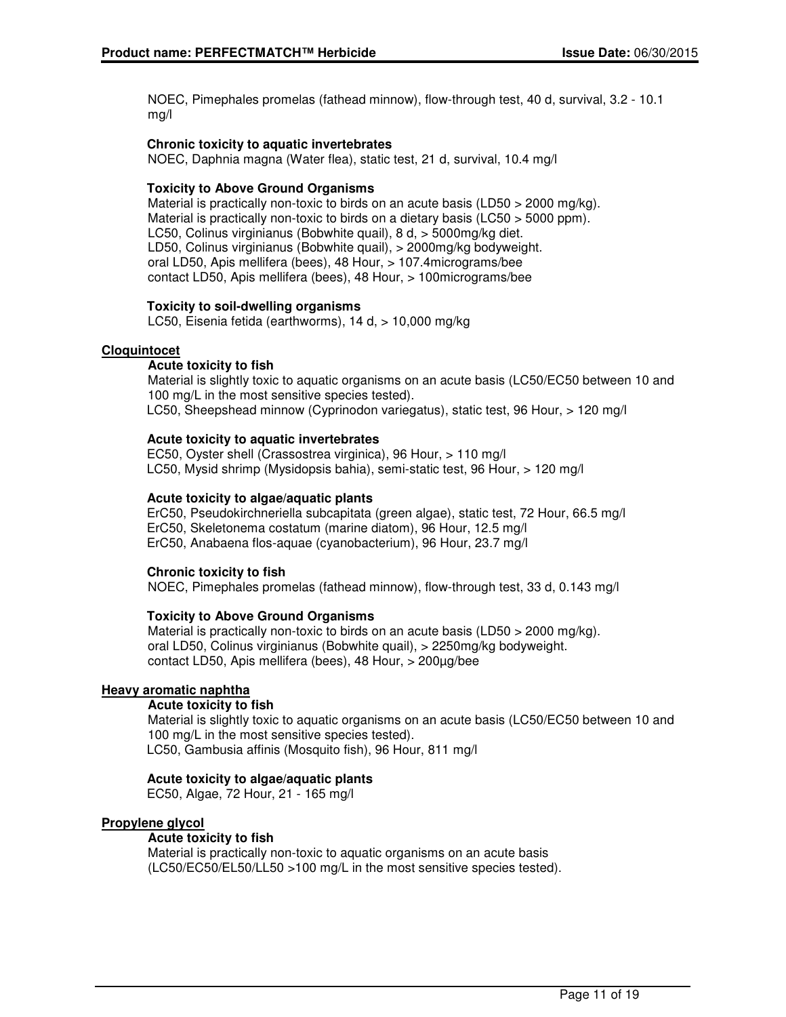NOEC, Pimephales promelas (fathead minnow), flow-through test, 40 d, survival, 3.2 - 10.1 mg/l

### **Chronic toxicity to aquatic invertebrates**

NOEC, Daphnia magna (Water flea), static test, 21 d, survival, 10.4 mg/l

### **Toxicity to Above Ground Organisms**

Material is practically non-toxic to birds on an acute basis (LD50  $>$  2000 mg/kg). Material is practically non-toxic to birds on a dietary basis (LC50 > 5000 ppm). LC50, Colinus virginianus (Bobwhite quail), 8 d, > 5000mg/kg diet. LD50, Colinus virginianus (Bobwhite quail), > 2000mg/kg bodyweight. oral LD50, Apis mellifera (bees), 48 Hour, > 107.4micrograms/bee contact LD50, Apis mellifera (bees), 48 Hour, > 100micrograms/bee

#### **Toxicity to soil-dwelling organisms**

LC50, Eisenia fetida (earthworms), 14 d, > 10,000 mg/kg

#### **Cloquintocet**

### **Acute toxicity to fish**

Material is slightly toxic to aquatic organisms on an acute basis (LC50/EC50 between 10 and 100 mg/L in the most sensitive species tested). LC50, Sheepshead minnow (Cyprinodon variegatus), static test, 96 Hour, > 120 mg/l

#### **Acute toxicity to aquatic invertebrates**

EC50, Oyster shell (Crassostrea virginica), 96 Hour, > 110 mg/l LC50, Mysid shrimp (Mysidopsis bahia), semi-static test, 96 Hour, > 120 mg/l

### **Acute toxicity to algae/aquatic plants**

ErC50, Pseudokirchneriella subcapitata (green algae), static test, 72 Hour, 66.5 mg/l ErC50, Skeletonema costatum (marine diatom), 96 Hour, 12.5 mg/l ErC50, Anabaena flos-aquae (cyanobacterium), 96 Hour, 23.7 mg/l

#### **Chronic toxicity to fish**

NOEC, Pimephales promelas (fathead minnow), flow-through test, 33 d, 0.143 mg/l

#### **Toxicity to Above Ground Organisms**

Material is practically non-toxic to birds on an acute basis (LD50  $>$  2000 mg/kg). oral LD50, Colinus virginianus (Bobwhite quail), > 2250mg/kg bodyweight. contact LD50, Apis mellifera (bees), 48 Hour, > 200µg/bee

#### **Heavy aromatic naphtha**

### **Acute toxicity to fish**

Material is slightly toxic to aquatic organisms on an acute basis (LC50/EC50 between 10 and 100 mg/L in the most sensitive species tested). LC50, Gambusia affinis (Mosquito fish), 96 Hour, 811 mg/l

#### **Acute toxicity to algae/aquatic plants**

EC50, Algae, 72 Hour, 21 - 165 mg/l

#### **Propylene glycol**

## **Acute toxicity to fish**

Material is practically non-toxic to aquatic organisms on an acute basis (LC50/EC50/EL50/LL50 >100 mg/L in the most sensitive species tested).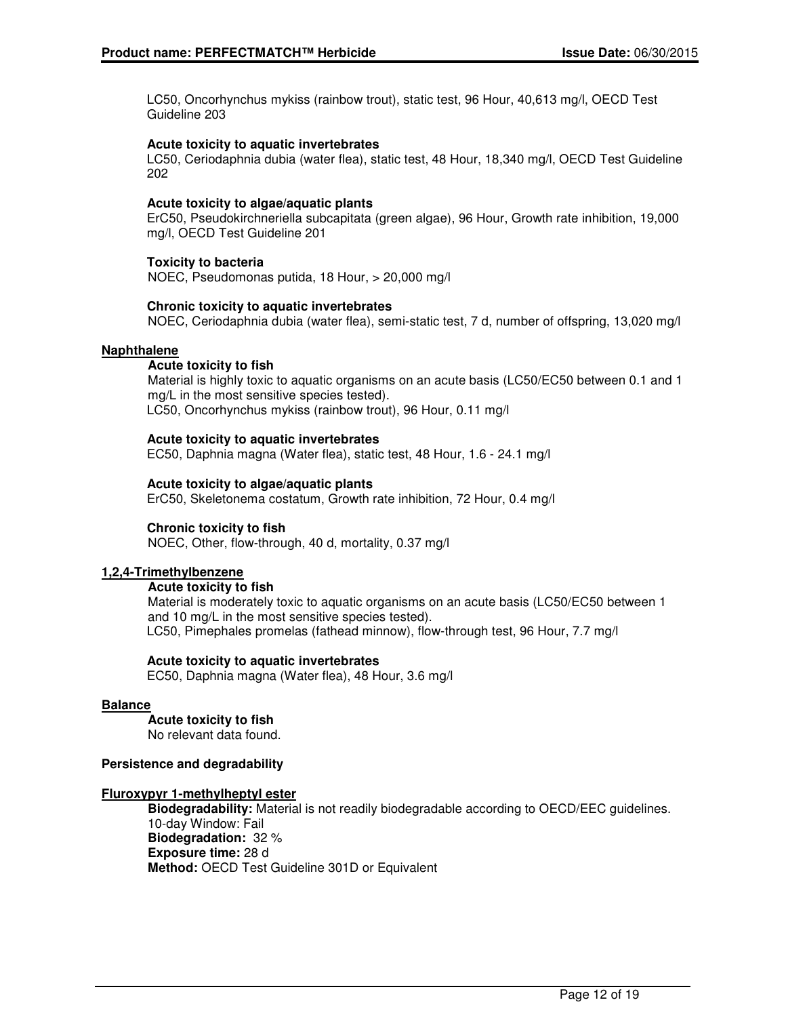LC50, Oncorhynchus mykiss (rainbow trout), static test, 96 Hour, 40,613 mg/l, OECD Test Guideline 203

#### **Acute toxicity to aquatic invertebrates**

LC50, Ceriodaphnia dubia (water flea), static test, 48 Hour, 18,340 mg/l, OECD Test Guideline 202

#### **Acute toxicity to algae/aquatic plants**

ErC50, Pseudokirchneriella subcapitata (green algae), 96 Hour, Growth rate inhibition, 19,000 mg/l, OECD Test Guideline 201

### **Toxicity to bacteria**

NOEC, Pseudomonas putida, 18 Hour, > 20,000 mg/l

#### **Chronic toxicity to aquatic invertebrates**

NOEC, Ceriodaphnia dubia (water flea), semi-static test, 7 d, number of offspring, 13,020 mg/l

#### **Naphthalene**

#### **Acute toxicity to fish**

Material is highly toxic to aquatic organisms on an acute basis (LC50/EC50 between 0.1 and 1 mg/L in the most sensitive species tested). LC50, Oncorhynchus mykiss (rainbow trout), 96 Hour, 0.11 mg/l

#### **Acute toxicity to aquatic invertebrates**

EC50, Daphnia magna (Water flea), static test, 48 Hour, 1.6 - 24.1 mg/l

#### **Acute toxicity to algae/aquatic plants**

ErC50, Skeletonema costatum, Growth rate inhibition, 72 Hour, 0.4 mg/l

#### **Chronic toxicity to fish**

NOEC, Other, flow-through, 40 d, mortality, 0.37 mg/l

#### **1,2,4-Trimethylbenzene**

#### **Acute toxicity to fish**

Material is moderately toxic to aquatic organisms on an acute basis (LC50/EC50 between 1 and 10 mg/L in the most sensitive species tested). LC50, Pimephales promelas (fathead minnow), flow-through test, 96 Hour, 7.7 mg/l

#### **Acute toxicity to aquatic invertebrates**

EC50, Daphnia magna (Water flea), 48 Hour, 3.6 mg/l

#### **Balance**

## **Acute toxicity to fish**

No relevant data found.

#### **Persistence and degradability**

#### **Fluroxypyr 1-methylheptyl ester**

**Biodegradability:** Material is not readily biodegradable according to OECD/EEC guidelines. 10-day Window: Fail **Biodegradation:** 32 % **Exposure time:** 28 d **Method:** OECD Test Guideline 301D or Equivalent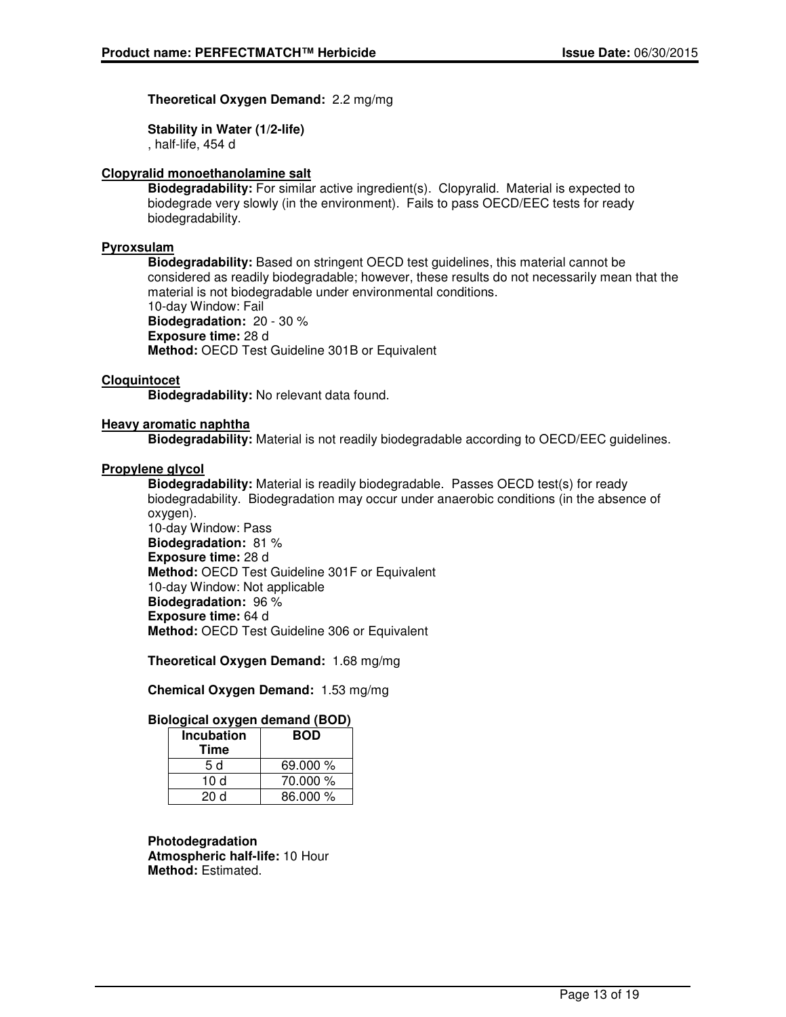## **Theoretical Oxygen Demand:** 2.2 mg/mg

**Stability in Water (1/2-life)**

, half-life, 454 d

## **Clopyralid monoethanolamine salt**

**Biodegradability:** For similar active ingredient(s). Clopyralid. Material is expected to biodegrade very slowly (in the environment). Fails to pass OECD/EEC tests for ready biodegradability.

#### **Pyroxsulam**

**Biodegradability:** Based on stringent OECD test guidelines, this material cannot be considered as readily biodegradable; however, these results do not necessarily mean that the material is not biodegradable under environmental conditions. 10-day Window: Fail **Biodegradation:** 20 - 30 % **Exposure time:** 28 d **Method:** OECD Test Guideline 301B or Equivalent

### **Cloquintocet**

**Biodegradability:** No relevant data found.

#### **Heavy aromatic naphtha**

**Biodegradability:** Material is not readily biodegradable according to OECD/EEC guidelines.

#### **Propylene glycol**

**Biodegradability:** Material is readily biodegradable. Passes OECD test(s) for ready biodegradability. Biodegradation may occur under anaerobic conditions (in the absence of oxygen).

10-day Window: Pass **Biodegradation:** 81 % **Exposure time:** 28 d **Method:** OECD Test Guideline 301F or Equivalent 10-day Window: Not applicable **Biodegradation:** 96 % **Exposure time:** 64 d **Method:** OECD Test Guideline 306 or Equivalent

**Theoretical Oxygen Demand:** 1.68 mg/mg

**Chemical Oxygen Demand:** 1.53 mg/mg

## **Biological oxygen demand (BOD)**

| <b>Incubation</b><br>Time | <b>BOD</b> |
|---------------------------|------------|
| 5 d                       | 69.000 %   |
| 10 d                      | 70.000 %   |
| 20 d                      | 86.000 %   |

#### **Photodegradation**

**Atmospheric half-life:** 10 Hour **Method:** Estimated.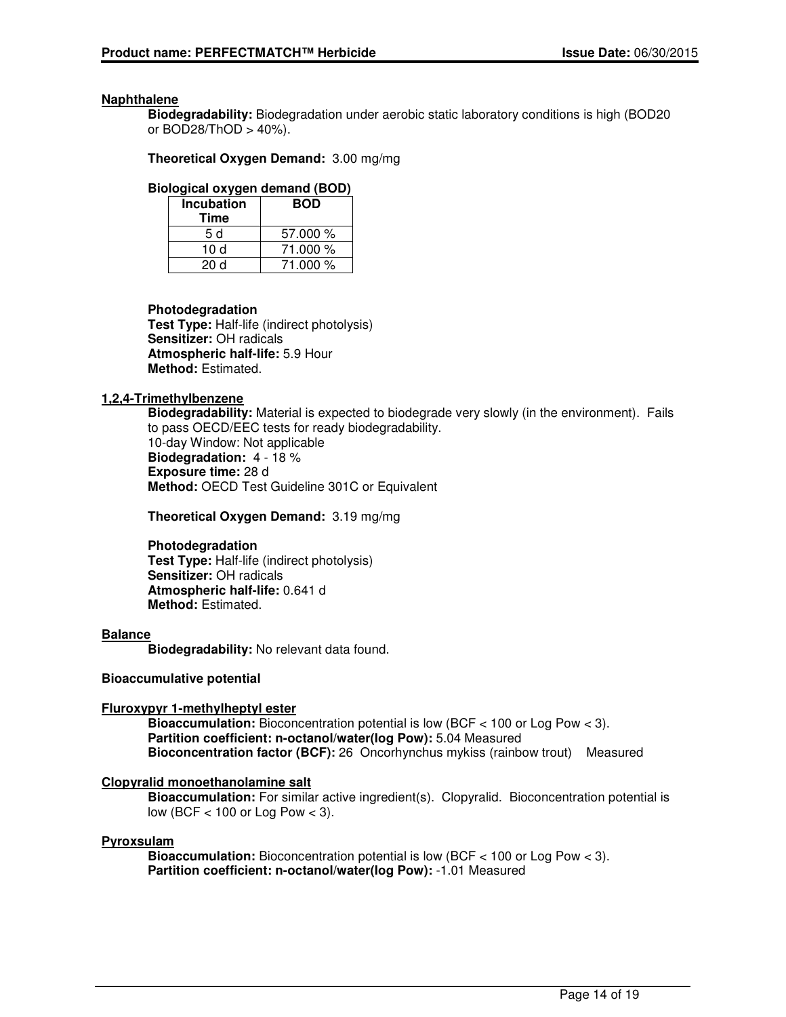#### **Naphthalene**

**Biodegradability:** Biodegradation under aerobic static laboratory conditions is high (BOD20 or BOD28/ThOD > 40%).

**Theoretical Oxygen Demand:** 3.00 mg/mg

### **Biological oxygen demand (BOD)**

| <b>Incubation</b> | <b>BOD</b> |  |
|-------------------|------------|--|
| Time              |            |  |
| 5 d               | 57.000 %   |  |
| 10 d              | 71.000 %   |  |
| 20 d              | 71.000 %   |  |

### **Photodegradation**

**Test Type:** Half-life (indirect photolysis) **Sensitizer:** OH radicals **Atmospheric half-life:** 5.9 Hour **Method:** Estimated.

### **1,2,4-Trimethylbenzene**

**Biodegradability:** Material is expected to biodegrade very slowly (in the environment). Fails to pass OECD/EEC tests for ready biodegradability. 10-day Window: Not applicable **Biodegradation:** 4 - 18 % **Exposure time:** 28 d **Method:** OECD Test Guideline 301C or Equivalent

**Theoretical Oxygen Demand:** 3.19 mg/mg

#### **Photodegradation**

**Test Type:** Half-life (indirect photolysis) **Sensitizer:** OH radicals **Atmospheric half-life:** 0.641 d **Method:** Estimated.

#### **Balance**

**Biodegradability:** No relevant data found.

#### **Bioaccumulative potential**

## **Fluroxypyr 1-methylheptyl ester**

**Bioaccumulation:** Bioconcentration potential is low (BCF < 100 or Log Pow < 3). **Partition coefficient: n-octanol/water(log Pow):** 5.04 Measured **Bioconcentration factor (BCF):** 26 Oncorhynchus mykiss (rainbow trout) Measured

## **Clopyralid monoethanolamine salt**

**Bioaccumulation:** For similar active ingredient(s). Clopyralid. Bioconcentration potential is low (BCF < 100 or Log Pow < 3).

#### **Pyroxsulam**

**Bioaccumulation:** Bioconcentration potential is low (BCF < 100 or Log Pow < 3). **Partition coefficient: n-octanol/water(log Pow):** -1.01 Measured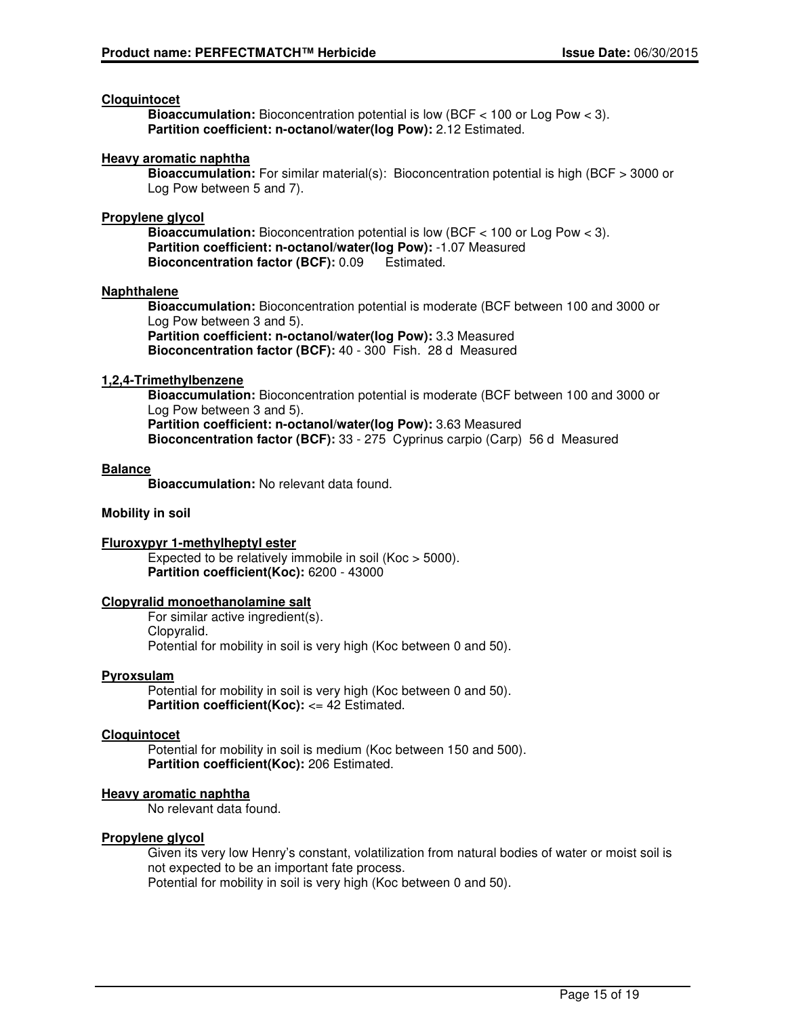#### **Cloquintocet**

**Bioaccumulation:** Bioconcentration potential is low (BCF < 100 or Log Pow < 3). **Partition coefficient: n-octanol/water(log Pow):** 2.12 Estimated.

#### **Heavy aromatic naphtha**

**Bioaccumulation:** For similar material(s): Bioconcentration potential is high (BCF > 3000 or Log Pow between 5 and 7).

#### **Propylene glycol**

**Bioaccumulation:** Bioconcentration potential is low (BCF < 100 or Log Pow < 3). **Partition coefficient: n-octanol/water(log Pow):** -1.07 Measured **Bioconcentration factor (BCF):** 0.09 Estimated.

#### **Naphthalene**

**Bioaccumulation:** Bioconcentration potential is moderate (BCF between 100 and 3000 or Log Pow between 3 and 5).

**Partition coefficient: n-octanol/water(log Pow):** 3.3 Measured **Bioconcentration factor (BCF):** 40 - 300 Fish. 28 d Measured

#### **1,2,4-Trimethylbenzene**

**Bioaccumulation:** Bioconcentration potential is moderate (BCF between 100 and 3000 or Log Pow between 3 and 5). **Partition coefficient: n-octanol/water(log Pow):** 3.63 Measured

**Bioconcentration factor (BCF):** 33 - 275 Cyprinus carpio (Carp) 56 d Measured

#### **Balance**

**Bioaccumulation:** No relevant data found.

#### **Mobility in soil**

#### **Fluroxypyr 1-methylheptyl ester**

Expected to be relatively immobile in soil (Koc > 5000). **Partition coefficient(Koc):** 6200 - 43000

#### **Clopyralid monoethanolamine salt**

For similar active ingredient(s). Clopyralid. Potential for mobility in soil is very high (Koc between 0 and 50).

#### **Pyroxsulam**

Potential for mobility in soil is very high (Koc between 0 and 50). **Partition coefficient(Koc): <= 42 Estimated.** 

#### **Cloquintocet**

Potential for mobility in soil is medium (Koc between 150 and 500). **Partition coefficient(Koc):** 206 Estimated.

#### **Heavy aromatic naphtha**

No relevant data found.

#### **Propylene glycol**

Given its very low Henry's constant, volatilization from natural bodies of water or moist soil is not expected to be an important fate process.

Potential for mobility in soil is very high (Koc between 0 and 50).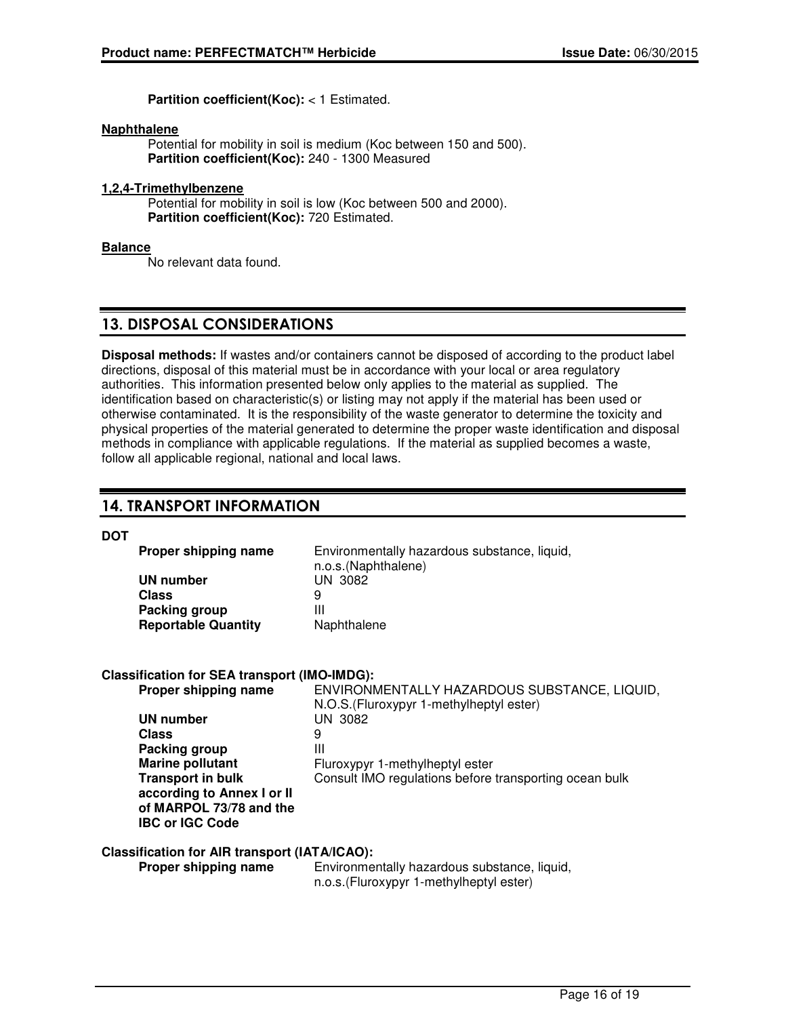**Partition coefficient(Koc):** < 1 Estimated.

#### **Naphthalene**

Potential for mobility in soil is medium (Koc between 150 and 500). **Partition coefficient(Koc):** 240 - 1300 Measured

### **1,2,4-Trimethylbenzene**

Potential for mobility in soil is low (Koc between 500 and 2000). **Partition coefficient(Koc):** 720 Estimated.

#### **Balance**

No relevant data found.

## 13. DISPOSAL CONSIDERATIONS

**Disposal methods:** If wastes and/or containers cannot be disposed of according to the product label directions, disposal of this material must be in accordance with your local or area regulatory authorities. This information presented below only applies to the material as supplied. The identification based on characteristic(s) or listing may not apply if the material has been used or otherwise contaminated. It is the responsibility of the waste generator to determine the toxicity and physical properties of the material generated to determine the proper waste identification and disposal methods in compliance with applicable regulations. If the material as supplied becomes a waste, follow all applicable regional, national and local laws.

## 14. TRANSPORT INFORMATION

**DOT**

| Proper shipping name       | Environmentally hazardous substance, liquid, |
|----------------------------|----------------------------------------------|
|                            | n.o.s.(Naphthalene)                          |
| UN number                  | UN 3082                                      |
| Class                      | 9                                            |
| Packing group              | Ш                                            |
| <b>Reportable Quantity</b> | Naphthalene                                  |

## **Classification for SEA transport (IMO-IMDG):**

| Proper shipping name       | ENVIRONMENTALLY HAZARDOUS SUBSTANCE, LIQUID,           |
|----------------------------|--------------------------------------------------------|
|                            | N.O.S. (Fluroxypyr 1-methylheptyl ester)               |
| UN number                  | UN 3082                                                |
| Class                      | 9                                                      |
| Packing group              | Ш                                                      |
| Marine pollutant           | Fluroxypyr 1-methylheptyl ester                        |
| <b>Transport in bulk</b>   | Consult IMO regulations before transporting ocean bulk |
| according to Annex I or II |                                                        |
| of MARPOL 73/78 and the    |                                                        |
| <b>IBC or IGC Code</b>     |                                                        |
|                            |                                                        |

#### **Classification for AIR transport (IATA/ICAO):**

**Proper shipping name** Environmentally hazardous substance, liquid, n.o.s.(Fluroxypyr 1-methylheptyl ester)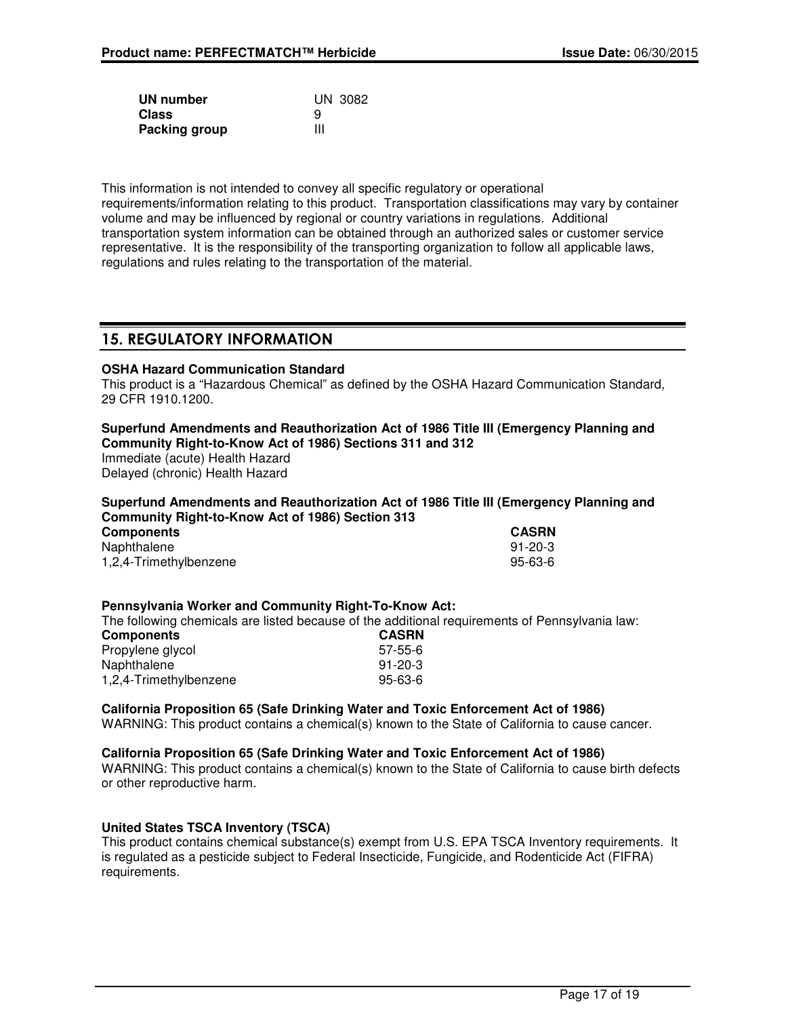| UN number     | UN 3082 |
|---------------|---------|
| Class         | 9       |
| Packing group | Ш       |

This information is not intended to convey all specific regulatory or operational requirements/information relating to this product. Transportation classifications may vary by container volume and may be influenced by regional or country variations in regulations. Additional transportation system information can be obtained through an authorized sales or customer service representative. It is the responsibility of the transporting organization to follow all applicable laws, regulations and rules relating to the transportation of the material.

## 15. REGULATORY INFORMATION

## **OSHA Hazard Communication Standard**

This product is a "Hazardous Chemical" as defined by the OSHA Hazard Communication Standard, 29 CFR 1910.1200.

#### **Superfund Amendments and Reauthorization Act of 1986 Title III (Emergency Planning and Community Right-to-Know Act of 1986) Sections 311 and 312**

Immediate (acute) Health Hazard Delayed (chronic) Health Hazard

### **Superfund Amendments and Reauthorization Act of 1986 Title III (Emergency Planning and Community Right-to-Know Act of 1986) Section 313**

| <b>Components</b>      | <b>CASRN</b>  |
|------------------------|---------------|
| Naphthalene            | $91 - 20 - 3$ |
| 1,2,4-Trimethylbenzene | 95-63-6       |

#### **Pennsylvania Worker and Community Right-To-Know Act:**

The following chemicals are listed because of the additional requirements of Pennsylvania law:

| <b>CASRN</b>  |
|---------------|
| 57-55-6       |
| $91 - 20 - 3$ |
| 95-63-6       |
|               |

## **California Proposition 65 (Safe Drinking Water and Toxic Enforcement Act of 1986)**

WARNING: This product contains a chemical(s) known to the State of California to cause cancer.

## **California Proposition 65 (Safe Drinking Water and Toxic Enforcement Act of 1986)**

WARNING: This product contains a chemical(s) known to the State of California to cause birth defects or other reproductive harm.

## **United States TSCA Inventory (TSCA)**

This product contains chemical substance(s) exempt from U.S. EPA TSCA Inventory requirements. It is regulated as a pesticide subject to Federal Insecticide, Fungicide, and Rodenticide Act (FIFRA) requirements.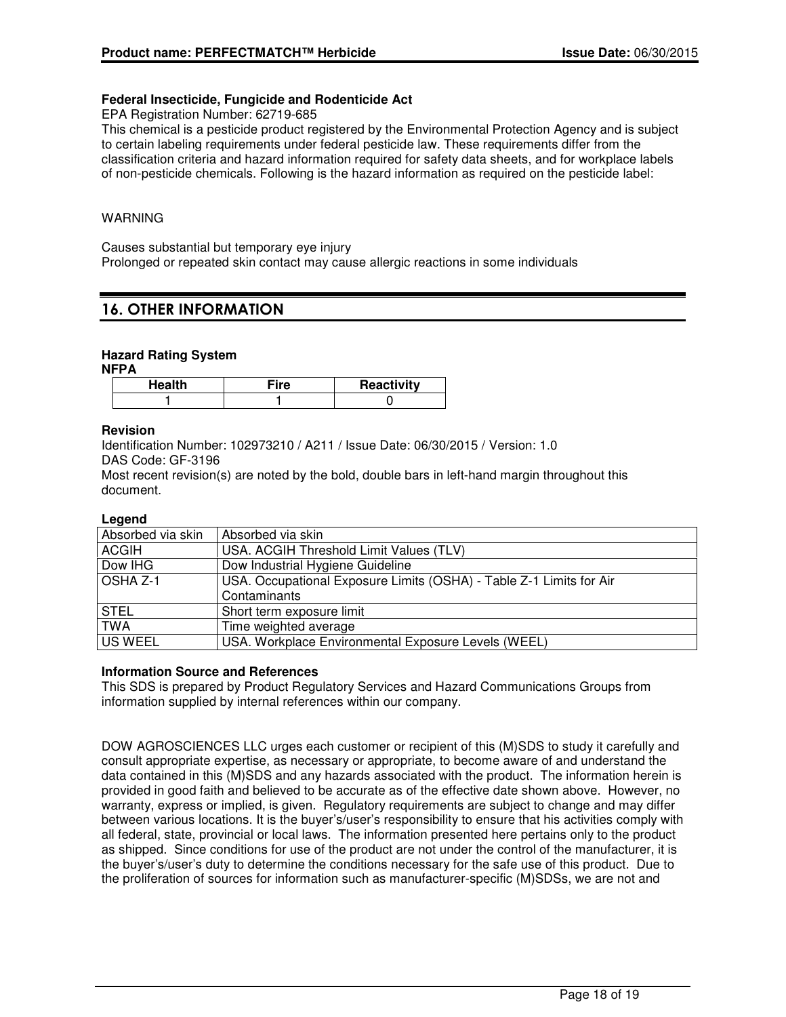### **Federal Insecticide, Fungicide and Rodenticide Act**

EPA Registration Number: 62719-685

This chemical is a pesticide product registered by the Environmental Protection Agency and is subject to certain labeling requirements under federal pesticide law. These requirements differ from the classification criteria and hazard information required for safety data sheets, and for workplace labels of non-pesticide chemicals. Following is the hazard information as required on the pesticide label:

#### WARNING

Causes substantial but temporary eye injury

Prolonged or repeated skin contact may cause allergic reactions in some individuals

## 16. OTHER INFORMATION

### **Hazard Rating System**

**NFPA**

| Health | ™ire | Reactivity |
|--------|------|------------|
|        |      |            |

#### **Revision**

Identification Number: 102973210 / A211 / Issue Date: 06/30/2015 / Version: 1.0 DAS Code: GF-3196

Most recent revision(s) are noted by the bold, double bars in left-hand margin throughout this document.

#### **Legend**

| Absorbed via skin | Absorbed via skin                                                   |
|-------------------|---------------------------------------------------------------------|
| <b>ACGIH</b>      | USA. ACGIH Threshold Limit Values (TLV)                             |
| Dow IHG           | Dow Industrial Hygiene Guideline                                    |
| OSHA Z-1          | USA. Occupational Exposure Limits (OSHA) - Table Z-1 Limits for Air |
|                   | Contaminants                                                        |
| <b>STEL</b>       | Short term exposure limit                                           |
| <b>TWA</b>        | Time weighted average                                               |
| <b>US WEEL</b>    | USA. Workplace Environmental Exposure Levels (WEEL)                 |

#### **Information Source and References**

This SDS is prepared by Product Regulatory Services and Hazard Communications Groups from information supplied by internal references within our company.

DOW AGROSCIENCES LLC urges each customer or recipient of this (M)SDS to study it carefully and consult appropriate expertise, as necessary or appropriate, to become aware of and understand the data contained in this (M)SDS and any hazards associated with the product. The information herein is provided in good faith and believed to be accurate as of the effective date shown above. However, no warranty, express or implied, is given. Regulatory requirements are subject to change and may differ between various locations. It is the buyer's/user's responsibility to ensure that his activities comply with all federal, state, provincial or local laws. The information presented here pertains only to the product as shipped. Since conditions for use of the product are not under the control of the manufacturer, it is the buyer's/user's duty to determine the conditions necessary for the safe use of this product. Due to the proliferation of sources for information such as manufacturer-specific (M)SDSs, we are not and